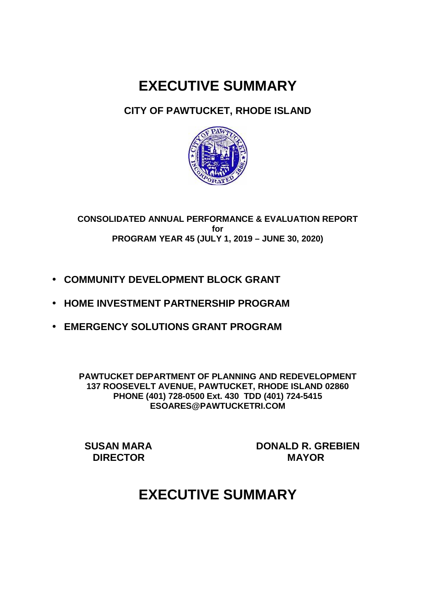# **EXECUTIVE SUMMARY**

### **CITY OF PAWTUCKET, RHODE ISLAND**



#### **CONSOLIDATED ANNUAL PERFORMANCE & EVALUATION REPORT for PROGRAM YEAR 45 (JULY 1, 2019 – JUNE 30, 2020)**

- **COMMUNITY DEVELOPMENT BLOCK GRANT**
- **HOME INVESTMENT PARTNERSHIP PROGRAM**
- **EMERGENCY SOLUTIONS GRANT PROGRAM**

**PAWTUCKET DEPARTMENT OF PLANNING AND REDEVELOPMENT 137 ROOSEVELT AVENUE, PAWTUCKET, RHODE ISLAND 02860 PHONE (401) 728-0500 Ext. 430 TDD (401) 724-5415 ESOARES@PAWTUCKETRI.COM** 

**SUSAN MARA DONALD R. GREBIEN DIRECTOR MAYOR** 

## **EXECUTIVE SUMMARY**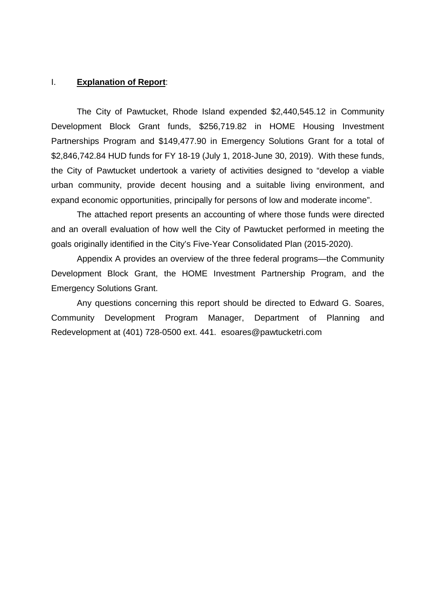#### I. **Explanation of Report**:

The City of Pawtucket, Rhode Island expended \$2,440,545.12 in Community Development Block Grant funds, \$256,719.82 in HOME Housing Investment Partnerships Program and \$149,477.90 in Emergency Solutions Grant for a total of \$2,846,742.84 HUD funds for FY 18-19 (July 1, 2018-June 30, 2019). With these funds, the City of Pawtucket undertook a variety of activities designed to "develop a viable urban community, provide decent housing and a suitable living environment, and expand economic opportunities, principally for persons of low and moderate income".

 The attached report presents an accounting of where those funds were directed and an overall evaluation of how well the City of Pawtucket performed in meeting the goals originally identified in the City's Five-Year Consolidated Plan (2015-2020).

 Appendix A provides an overview of the three federal programs—the Community Development Block Grant, the HOME Investment Partnership Program, and the Emergency Solutions Grant.

 Any questions concerning this report should be directed to Edward G. Soares, Community Development Program Manager, Department of Planning and Redevelopment at (401) 728-0500 ext. 441. esoares@pawtucketri.com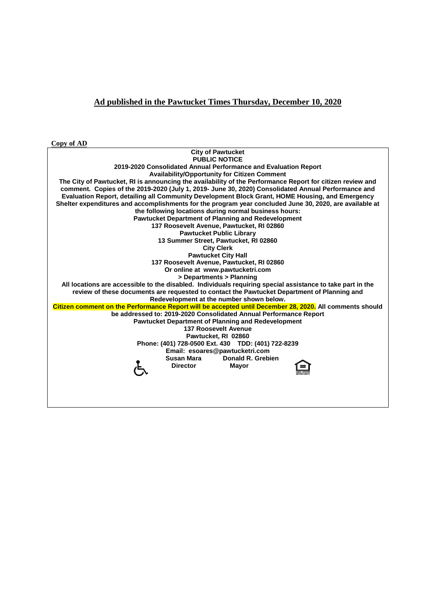#### **Ad published in the Pawtucket Times Thursday, December 10, 2020**

**Copy of AD** 

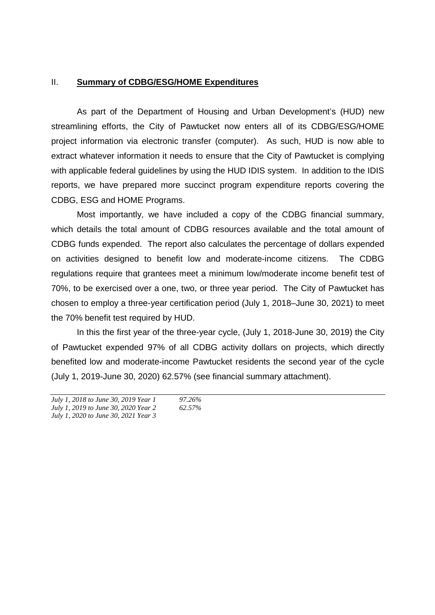#### II. **Summary of CDBG/ESG/HOME Expenditures**

As part of the Department of Housing and Urban Development's (HUD) new streamlining efforts, the City of Pawtucket now enters all of its CDBG/ESG/HOME project information via electronic transfer (computer). As such, HUD is now able to extract whatever information it needs to ensure that the City of Pawtucket is complying with applicable federal guidelines by using the HUD IDIS system. In addition to the IDIS reports, we have prepared more succinct program expenditure reports covering the CDBG, ESG and HOME Programs.

 Most importantly, we have included a copy of the CDBG financial summary, which details the total amount of CDBG resources available and the total amount of CDBG funds expended. The report also calculates the percentage of dollars expended on activities designed to benefit low and moderate-income citizens. The CDBG regulations require that grantees meet a minimum low/moderate income benefit test of 70%, to be exercised over a one, two, or three year period. The City of Pawtucket has chosen to employ a three-year certification period (July 1, 2018–June 30, 2021) to meet the 70% benefit test required by HUD.

 In this the first year of the three-year cycle, (July 1, 2018-June 30, 2019) the City of Pawtucket expended 97% of all CDBG activity dollars on projects, which directly benefited low and moderate-income Pawtucket residents the second year of the cycle (July 1, 2019-June 30, 2020) 62.57% (see financial summary attachment).

*July 1, 2018 to June 30, 2019 Year 1 97.26% July 1, 2019 to June 30, 2020 Year 2 62.57% July 1, 2020 to June 30, 2021 Year 3*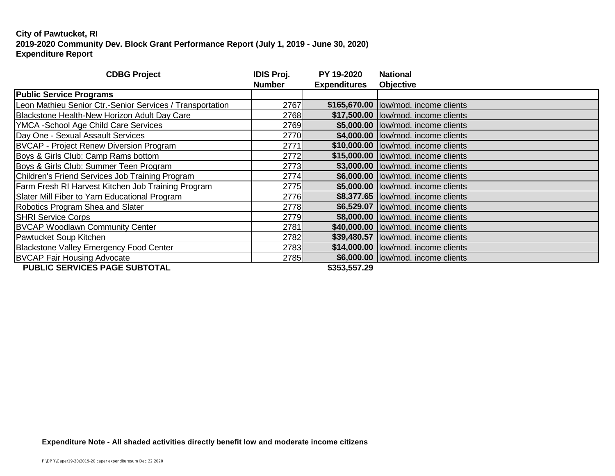| <b>CDBG Project</b>                                       | <b>IDIS Proj.</b><br><b>Number</b> | PY 19-2020<br><b>Expenditures</b> | <b>National</b><br><b>Objective</b>   |
|-----------------------------------------------------------|------------------------------------|-----------------------------------|---------------------------------------|
| <b>Public Service Programs</b>                            |                                    |                                   |                                       |
| Leon Mathieu Senior Ctr.-Senior Services / Transportation | 2767                               |                                   | \$165,670.00  low/mod. income clients |
| Blackstone Health-New Horizon Adult Day Care              | 2768                               |                                   | \$17,500.00 low/mod. income clients   |
| YMCA - School Age Child Care Services                     | 2769                               |                                   | \$5,000.00 low/mod. income clients    |
| Day One - Sexual Assault Services                         | 2770                               |                                   | \$4,000.00  low/mod. income clients   |
| <b>BVCAP</b> - Project Renew Diversion Program            | 2771                               |                                   | \$10,000.00 low/mod. income clients   |
| Boys & Girls Club: Camp Rams bottom                       | 2772                               |                                   | \$15,000.00  low/mod. income clients  |
| Boys & Girls Club: Summer Teen Program                    | 2773                               |                                   | \$3,000.00  low/mod. income clients   |
| Children's Friend Services Job Training Program           | 2774                               |                                   | \$6,000.00  low/mod. income clients   |
| <b>Farm Fresh RI Harvest Kitchen Job Training Program</b> | 2775                               |                                   | \$5,000.00 low/mod. income clients    |
| Slater Mill Fiber to Yarn Educational Program             | 2776                               |                                   | \$8,377.65 low/mod. income clients    |
| Robotics Program Shea and Slater                          | 2778                               |                                   | \$6,529.07  low/mod. income clients   |
| <b>SHRI Service Corps</b>                                 | 2779                               |                                   | \$8,000.00 low/mod. income clients    |
| <b>BVCAP Woodlawn Community Center</b>                    | 2781                               |                                   | \$40,000.00 low/mod. income clients   |
| Pawtucket Soup Kitchen                                    | 2782                               |                                   | \$39,480.57  low/mod. income clients  |
| Blackstone Valley Emergency Food Center                   | 2783                               |                                   | \$14,000.00 low/mod. income clients   |
| <b>BVCAP Fair Housing Advocate</b>                        | 2785                               |                                   | \$6,000.00 low/mod. income clients    |
| DUDLIC CEDVICES DAGE SUDTATAL                             |                                    | MAEA EE7 AN                       |                                       |

 **PUBLIC SERVICES PAGE SUBTOTAL**   $$353,557.29$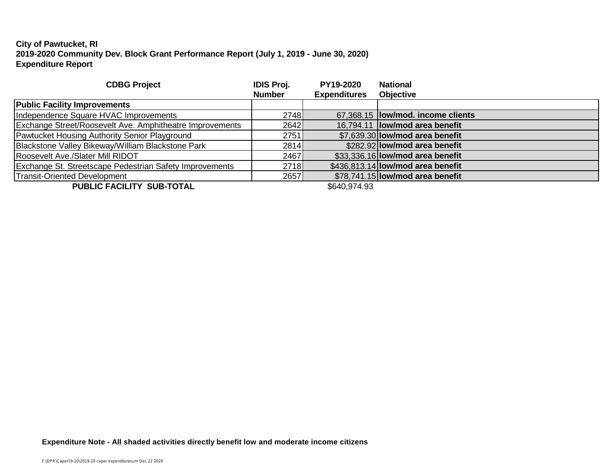| <b>CDBG Project</b>                                      | <b>IDIS Proj.</b> | <b>PY19-2020</b>    | <b>National</b>                          |
|----------------------------------------------------------|-------------------|---------------------|------------------------------------------|
|                                                          | <b>Number</b>     | <b>Expenditures</b> | <b>Objective</b>                         |
| <b>Public Facility Improvements</b>                      |                   |                     |                                          |
| Independence Square HVAC Improvements                    | 2748              |                     | 67,368.15 <b>low/mod. income clients</b> |
| Exchange Street/Roosevelt Ave. Amphitheatre Improvements | 2642              |                     | 16,794.11 <b>low/mod area benefit</b>    |
| Pawtucket Housing Authority Senior Playground            | 2751              |                     | \$7.639.30 low/mod area benefit          |
| Blackstone Valley Bikeway/William Blackstone Park        | 2814              |                     | \$282.92 low/mod area benefit            |
| Roosevelt Ave./Slater Mill RIDOT                         | 2467              |                     | \$33,336.16 low/mod area benefit         |
| Exchange St. Streetscape Pedestrian Safety Improvements  | 2718              |                     | \$436,813.14 low/mod area benefit        |
| Transit-Oriented Development                             | 2657              |                     | \$78,741.15 low/mod area benefit         |
|                                                          |                   |                     |                                          |

**PUBLIC FACILITY SUB-TOTAL** \$640,974.93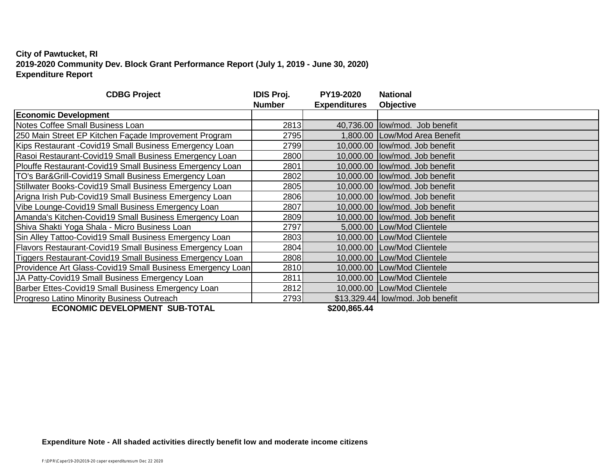| <b>CDBG Project</b>                                             | <b>IDIS Proj.</b> | PY19-2020           | <b>National</b>                  |
|-----------------------------------------------------------------|-------------------|---------------------|----------------------------------|
|                                                                 | <b>Number</b>     | <b>Expenditures</b> | Objective                        |
| <b>Economic Development</b>                                     |                   |                     |                                  |
| Notes Coffee Small Business Loan                                | 2813              |                     | 40,736.00 low/mod. Job benefit   |
| 250 Main Street EP Kitchen Façade Improvement Program           | 2795              |                     | 1,800.00 Low/Mod Area Benefit    |
| Kips Restaurant - Covid19 Small Business Emergency Loan         | 2799              |                     | 10,000.00 low/mod. Job benefit   |
| Rasoi Restaurant-Covid19 Small Business Emergency Loan          | 2800l             |                     | 10,000.00 low/mod. Job benefit   |
| Plouffe Restaurant-Covid19 Small Business Emergency Loan        | 2801              |                     | 10,000.00 low/mod. Job benefit   |
| TO's Bar&Grill-Covid19 Small Business Emergency Loan            | 2802              |                     | 10,000.00 low/mod. Job benefit   |
| Stillwater Books-Covid19 Small Business Emergency Loan          | 2805              |                     | 10,000.00 low/mod. Job benefit   |
| Arigna Irish Pub-Covid19 Small Business Emergency Loan          | 2806l             |                     | 10,000.00 low/mod. Job benefit   |
| Vibe Lounge-Covid19 Small Business Emergency Loan               | 2807              |                     | 10,000.00 low/mod. Job benefit   |
| Amanda's Kitchen-Covid19 Small Business Emergency Loan          | 2809              |                     | 10,000.00 low/mod. Job benefit   |
| Shiva Shakti Yoga Shala - Micro Business Loan                   | 2797              |                     | 5,000.00 Low/Mod Clientele       |
| Sin Alley Tattoo-Covid19 Small Business Emergency Loan          | 2803              |                     | 10,000.00 Low/Mod Clientele      |
| <b>Flavors Restaurant-Covid19 Small Business Emergency Loan</b> | 2804              |                     | 10,000.00   Low/Mod Clientele    |
| Tiggers Restaurant-Covid19 Small Business Emergency Loan        | 2808              |                     | 10,000.00 Low/Mod Clientele      |
| Providence Art Glass-Covid19 Small Business Emergency Loan      | 2810              |                     | 10,000.00 Low/Mod Clientele      |
| JA Patty-Covid19 Small Business Emergency Loan                  | 2811              |                     | 10,000.00 Low/Mod Clientele      |
| Barber Ettes-Covid19 Small Business Emergency Loan              | 2812              |                     | 10,000.00 Low/Mod Clientele      |
| Progreso Latino Minority Business Outreach                      | 2793              |                     | \$13,329.44 low/mod. Job benefit |
| <b>ECONOMIC DEVELOPMENT SUB-TOTAL</b>                           |                   | \$200,865.44        |                                  |

**Expenditure Note - All shaded activities directly benefit low and moderate income citizens**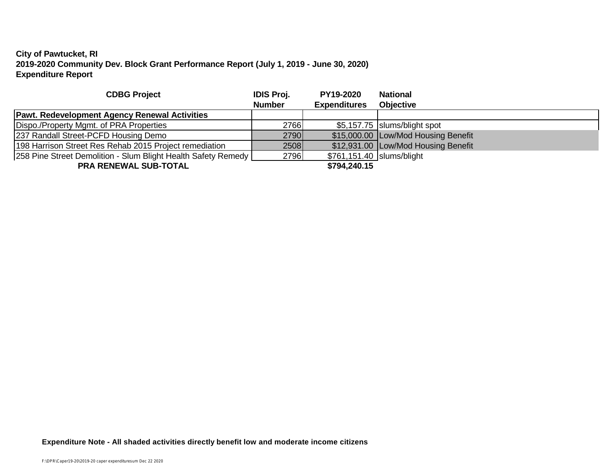| <b>CDBG Project</b>                                           | <b>IDIS Proj.</b> | <b>PY19-2020</b>            | <b>National</b>                     |
|---------------------------------------------------------------|-------------------|-----------------------------|-------------------------------------|
|                                                               | <b>Number</b>     | <b>Expenditures</b>         | <b>Objective</b>                    |
| <b>Pawt. Redevelopment Agency Renewal Activities</b>          |                   |                             |                                     |
| Dispo./Property Mgmt. of PRA Properties                       | 2766              |                             | \$5,157.75   slums/blight spot      |
| 237 Randall Street-PCFD Housing Demo                          | 2790              |                             | \$15,000.00 Low/Mod Housing Benefit |
| 198 Harrison Street Res Rehab 2015 Project remediation        | 2508              |                             | \$12,931.00 Low/Mod Housing Benefit |
| 258 Pine Street Demolition - Slum Blight Health Safety Remedy | 2796              | \$761,151.40   slums/blight |                                     |
| <b>PRA RENEWAL SUB-TOTAL</b>                                  |                   | \$794,240.15                |                                     |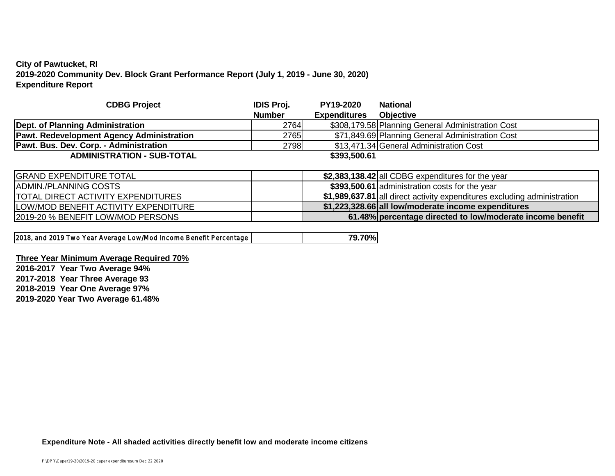| <b>CDBG Project</b>                              | <b>IDIS Proj.</b> | <b>PY19-2020</b>    | <b>National</b>                                   |
|--------------------------------------------------|-------------------|---------------------|---------------------------------------------------|
|                                                  | <b>Number</b>     | <b>Expenditures</b> | <b>Objective</b>                                  |
| Dept. of Planning Administration                 | 2764              |                     | \$308,179.58 Planning General Administration Cost |
| <b>Pawt. Redevelopment Agency Administration</b> | 2765              |                     | \$71,849.69 Planning General Administration Cost  |
| <b>Pawt. Bus. Dev. Corp. - Administration</b>    | 2798              |                     | \$13,471.34 General Administration Cost           |
| <b>ADMINISTRATION - SUB-TOTAL</b>                |                   | \$393,500.61        |                                                   |
|                                                  |                   |                     |                                                   |
| [CDAND FVDENDTIIDFTATTI                          |                   |                     |                                                   |

| <b>IGRAND EXPENDITURE TOTAL</b>              | \$2,383,138.42 all CDBG expenditures for the year                        |
|----------------------------------------------|--------------------------------------------------------------------------|
| IADMIN./PLANNING COSTS                       | \$393,500.61 administration costs for the year                           |
| <b>ITOTAL DIRECT ACTIVITY EXPENDITURES</b>   | \$1,989,637.81 all direct activity expenditures excluding administration |
| <b>ILOW/MOD BENEFIT ACTIVITY EXPENDITURE</b> | \$1,223,328.66 all low/moderate income expenditures                      |
| 2019-20 % BENEFIT LOW/MOD PERSONS            | 61.48% percentage directed to low/moderate income benefit                |

|  | 2018, and 2019 Two Year Average Low/Mod Income Benefit Percentage |  | 79.70% |
|--|-------------------------------------------------------------------|--|--------|
|--|-------------------------------------------------------------------|--|--------|

#### **Three Year Minimum Average Required 70%**

**2016-2017 Year Two Average 94% 2017-2018 Year Three Average 93 2018-2019 Year One Average 97% 2019-2020 Year Two Average 61.48%**

**Expenditure Note - All shaded activities directly benefit low and moderate income citizens**